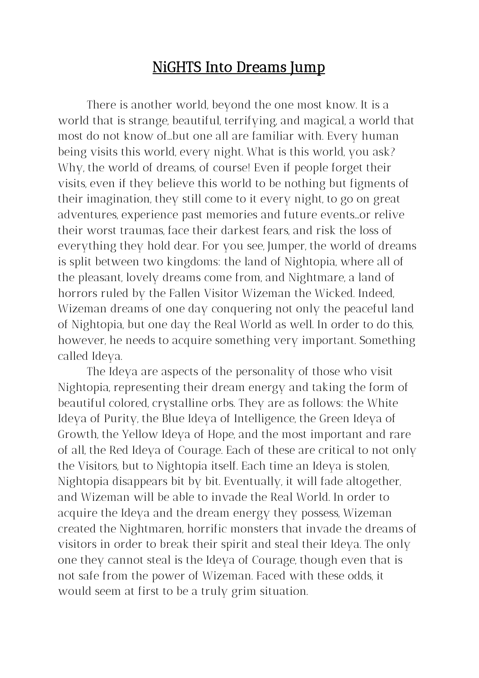# NiGHTS Into Dreams Jump

There is another world, beyond the one most know. It is a world that is strange, beautiful, terrifying, and magical, a world that most do not know of...but one all are familiar with. Every human being visits this world, every night. What is this world, you ask? Why, the world of dreams, of course! Even if people forget their visits, even if they believe this world to be nothing but figments of their imagination, they still come to it every night, to go on great adventures, experience past memories and future events...or relive their worst traumas, face their darkest fears, and risk the loss of everything they hold dear. For you see, Jumper, the world of dreams is split between two kingdoms: the land of Nightopia, where all of the pleasant, lovely dreams come from, and Nightmare, a land of horrors ruled by the Fallen Visitor Wizeman the Wicked. Indeed, Wizeman dreams of one day conquering not only the peaceful land of Nightopia, but one day the Real World as well. In order to do this, however, he needs to acquire something very important. Something called Ideya.

The Ideya are aspects of the personality of those who visit Nightopia, representing their dream energy and taking the form of beautiful colored, crystalline orbs. They are as follows: the White Ideya of Purity, the Blue Ideya of Intelligence, the Green Ideya of Growth, the Yellow Ideya of Hope, and the most important and rare of all, the Red Ideya of Courage. Each of these are critical to not only the Visitors, but to Nightopia itself. Each time an Ideya is stolen, Nightopia disappears bit by bit. Eventually, it will fade altogether, and Wizeman will be able to invade the Real World. In order to acquire the Ideya and the dream energy they possess, Wizeman created the Nightmaren, horrific monsters that invade the dreams of visitors in order to break their spirit and steal their Ideya. The only one they cannot steal is the Ideya of Courage, though even that is not safe from the power of Wizeman. Faced with these odds, it would seem at first to be a truly grim situation.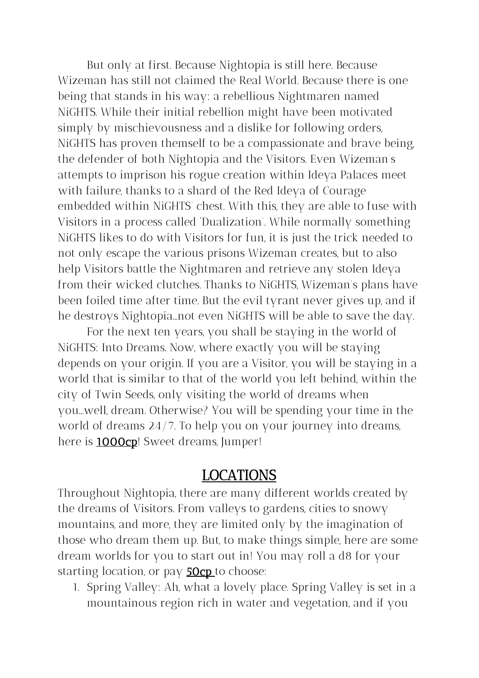But only at first. Because Nightopia is still here. Because Wizeman has still not claimed the Real World. Because there is one being that stands in his way: a rebellious Nightmaren named NiGHTS. While their initial rebellion might have been motivated simply by mischievousness and a dislike for following orders, NiGHTS has proven themself to be a compassionate and brave being, the defender of both Nightopia and the Visitors. Even Wizeman's attempts to imprison his rogue creation within Ideya Palaces meet with failure, thanks to a shard of the Red Ideya of Courage embedded within NiGHTS' chest. With this, they are able to fuse with Visitors in a process called 'Dualization'. While normally something NiGHTS likes to do with Visitors for fun, it is just the trick needed to not only escape the various prisons Wizeman creates, but to also help Visitors battle the Nightmaren and retrieve any stolen Ideya from their wicked clutches. Thanks to NiGHTS, Wizeman's plans have been foiled time after time. But the evil tyrant never gives up, and if he destroys Nightopia...not even NiGHTS will be able to save the day.

For the next ten years, you shall be staying in the world of NiGHTS: Into Dreams. Now, where exactly you will be staying depends on your origin. If you are a Visitor, you will be staying in a world that is similar to that of the world you left behind, within the city of Twin Seeds, only visiting the world of dreams when you...well, dream. Otherwise? You will be spending your time in the world of dreams 24/7. To help you on your journey into dreams, here is **1000cp**! Sweet dreams, Jumper!

### LOCATIONS

Throughout Nightopia, there are many different worlds created by the dreams of Visitors. From valleys to gardens, cities to snowy mountains, and more, they are limited only by the imagination of those who dream them up. But, to make things simple, here are some dream worlds for you to start out in! You may roll a d8 for your starting location, or pay **50cp** to choose:

1. Spring Valley: Ah, what a lovely place. Spring Valley is set in a mountainous region rich in water and vegetation, and if you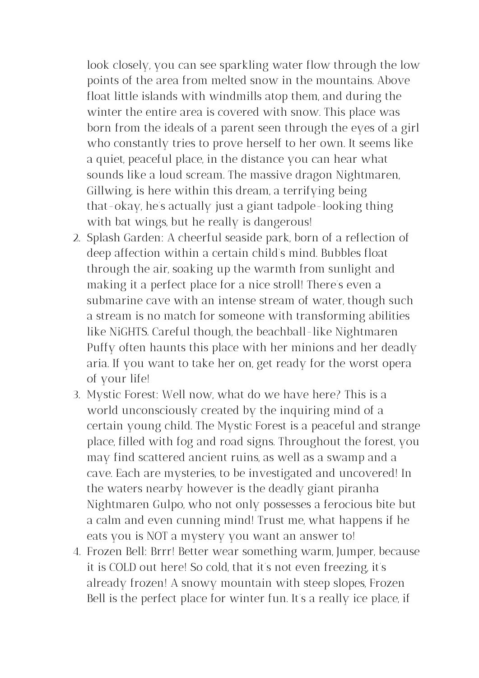look closely, you can see sparkling water flow through the low points of the area from melted snow in the mountains. Above float little islands with windmills atop them, and during the winter the entire area is covered with snow. This place was born from the ideals of a parent seen through the eyes of a girl who constantly tries to prove herself to her own. It seems like a quiet, peaceful place, in the distance you can hear what sounds like a loud scream. The massive dragon Nightmaren, Gillwing, is here within this dream, a terrifying being that-okay, he's actually just a giant tadpole-looking thing with bat wings, but he really is dangerous!

- 2. Splash Garden: A cheerful seaside park, born of a reflection of deep affection within a certain child's mind. Bubbles float through the air, soaking up the warmth from sunlight and making it a perfect place for a nice stroll! There's even a submarine cave with an intense stream of water, though such a stream is no match for someone with transforming abilities like NiGHTS. Careful though, the beachball-like Nightmaren Puffy often haunts this place with her minions and her deadly aria. If you want to take her on, get ready for the worst opera of your life!
- 3. Mystic Forest: Well now, what do we have here? This is a world unconsciously created by the inquiring mind of a certain young child. The Mystic Forest is a peaceful and strange place, filled with fog and road signs. Throughout the forest, you may find scattered ancient ruins, as well as a swamp and a cave. Each are mysteries, to be investigated and uncovered! In the waters nearby however is the deadly giant piranha Nightmaren Gulpo, who not only possesses a ferocious bite but a calm and even cunning mind! Trust me, what happens if he eats you is NOT a mystery you want an answer to!
- 4. Frozen Bell: Brrr! Better wear something warm, Jumper, because it is COLD out here! So cold, that it's not even freezing, it's already frozen! A snowy mountain with steep slopes, Frozen Bell is the perfect place for winter fun. It's a really ice place, if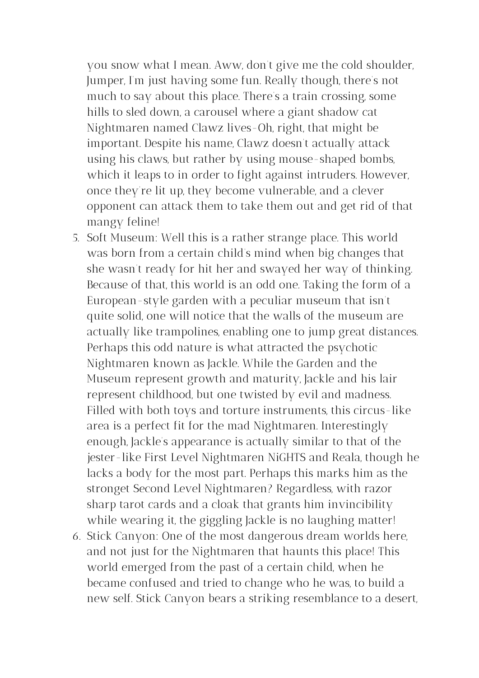you snow what I mean. Aww, don't give me the cold shoulder, Jumper, I'm just having some fun. Really though, there's not much to say about this place. There's a train crossing, some hills to sled down, a carousel where a giant shadow cat Nightmaren named Clawz lives-Oh, right, that might be important. Despite his name, Clawz doesn't actually attack using his claws, but rather by using mouse-shaped bombs, which it leaps to in order to fight against intruders. However, once they're lit up, they become vulnerable, and a clever opponent can attack them to take them out and get rid of that mangy feline!

- 5. Soft Museum: Well this is a rather strange place. This world was born from a certain child's mind when big changes that she wasn't ready for hit her and swayed her way of thinking. Because of that, this world is an odd one. Taking the form of a European-style garden with a peculiar museum that isn't quite solid, one will notice that the walls of the museum are actually like trampolines, enabling one to jump great distances. Perhaps this odd nature is what attracted the psychotic Nightmaren known as Jackle. While the Garden and the Museum represent growth and maturity, Jackle and his lair represent childhood, but one twisted by evil and madness. Filled with both toys and torture instruments, this circus-like area is a perfect fit for the mad Nightmaren. Interestingly enough, Jackle's appearance is actually similar to that of the jester-like First Level Nightmaren NiGHTS and Reala, though he lacks a body for the most part. Perhaps this marks him as the stronget Second Level Nightmaren? Regardless, with razor sharp tarot cards and a cloak that grants him invincibility while wearing it, the giggling Jackle is no laughing matter!
- 6. Stick Canyon: One of the most dangerous dream worlds here, and not just for the Nightmaren that haunts this place! This world emerged from the past of a certain child, when he became confused and tried to change who he was, to build a new self. Stick Canyon bears a striking resemblance to a desert,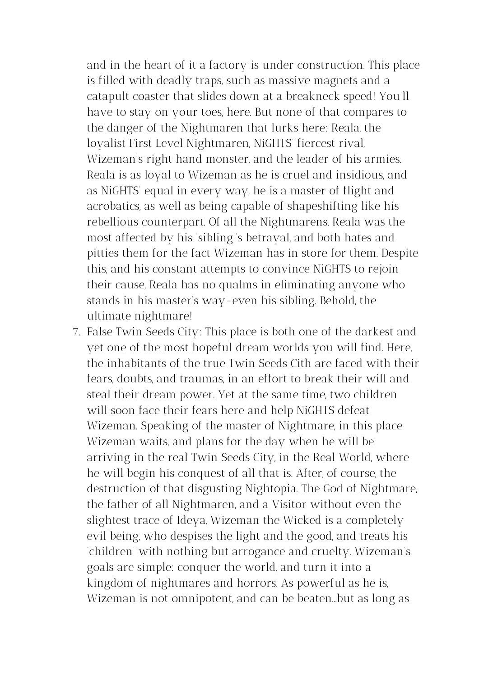and in the heart of it a factory is under construction. This place is filled with deadly traps, such as massive magnets and a catapult coaster that slides down at a breakneck speed! You'll have to stay on your toes, here. But none of that compares to the danger of the Nightmaren that lurks here: Reala, the loyalist First Level Nightmaren, NiGHTS' fiercest rival, Wizeman's right hand monster, and the leader of his armies. Reala is as loyal to Wizeman as he is cruel and insidious, and as NiGHTS' equal in every way, he is a master of flight and acrobatics, as well as being capable of shapeshifting like his rebellious counterpart. Of all the Nightmarens, Reala was the most affected by his 'sibling''s betrayal, and both hates and pitties them for the fact Wizeman has in store for them. Despite this, and his constant attempts to convince NiGHTS to rejoin their cause, Reala has no qualms in eliminating anyone who stands in his master's way-even his sibling. Behold, the ultimate nightmare!

7. False Twin Seeds City: This place is both one of the darkest and yet one of the most hopeful dream worlds you will find. Here, the inhabitants of the true Twin Seeds Cith are faced with their fears, doubts, and traumas, in an effort to break their will and steal their dream power. Yet at the same time, two children will soon face their fears here and help NiGHTS defeat Wizeman. Speaking of the master of Nightmare, in this place Wizeman waits, and plans for the day when he will be arriving in the real Twin Seeds City, in the Real World, where he will begin his conquest of all that is. After, of course, the destruction of that disgusting Nightopia. The God of Nightmare, the father of all Nightmaren, and a Visitor without even the slightest trace of Ideya, Wizeman the Wicked is a completely evil being, who despises the light and the good, and treats his 'children' with nothing but arrogance and cruelty. Wizeman's goals are simple: conquer the world, and turn it into a kingdom of nightmares and horrors. As powerful as he is, Wizeman is not omnipotent, and can be beaten...but as long as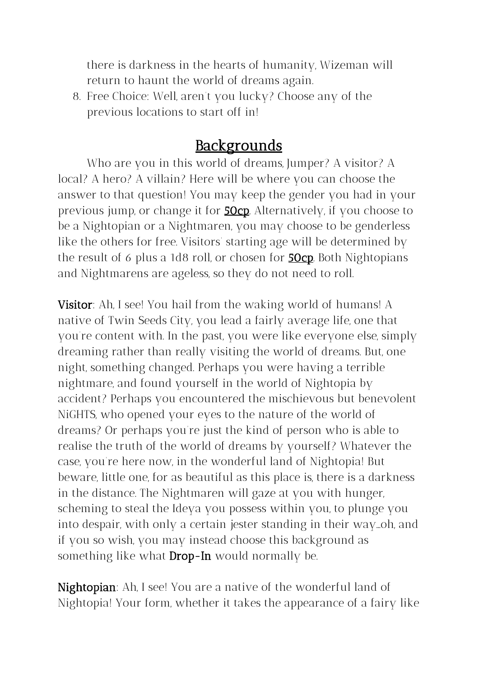there is darkness in the hearts of humanity, Wizeman will return to haunt the world of dreams again.

8. Free Choice: Well, aren't you lucky? Choose any of the previous locations to start off in!

# **Backgrounds**

Who are you in this world of dreams, Jumper? A visitor? A local? A hero? A villain? Here will be where you can choose the answer to that question! You may keep the gender you had in your previous jump, or change it for **50cp**. Alternatively, if you choose to be a Nightopian or a Nightmaren, you may choose to be genderless like the others for free. Visitors' starting age will be determined by the result of 6 plus a 1d8 roll, or chosen for **50cp**. Both Nightopians and Nightmarens are ageless, so they do not need to roll.

**Visitor**: Ah, I see! You hail from the waking world of humans! A native of Twin Seeds City, you lead a fairly average life, one that you're content with. In the past, you were like everyone else, simply dreaming rather than really visiting the world of dreams. But, one night, something changed. Perhaps you were having a terrible nightmare, and found yourself in the world of Nightopia by accident? Perhaps you encountered the mischievous but benevolent NiGHTS, who opened your eyes to the nature of the world of dreams? Or perhaps you're just the kind of person who is able to realise the truth of the world of dreams by yourself? Whatever the case, you're here now, in the wonderful land of Nightopia! But beware, little one, for as beautiful as this place is, there is a darkness in the distance. The Nightmaren will gaze at you with hunger, scheming to steal the Ideya you possess within you, to plunge you into despair, with only a certain jester standing in their way…oh, and if you so wish, you may instead choose this background as something like what  $Drop-In$  would normally be.

Nightopian: Ah, I see! You are a native of the wonderful land of Nightopia! Your form, whether it takes the appearance of a fairy like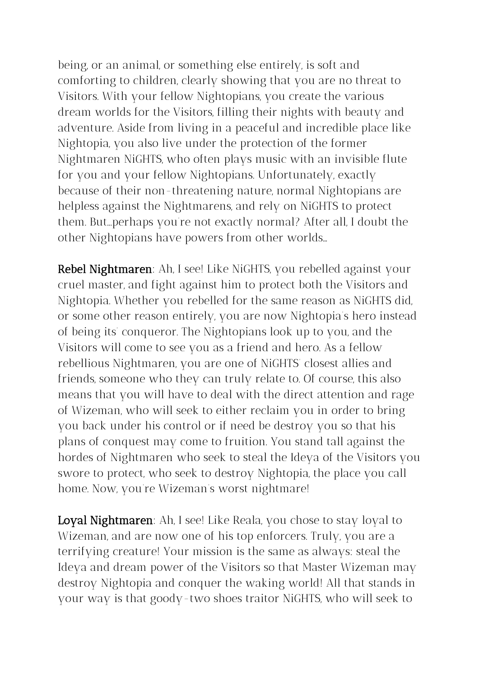being, or an animal, or something else entirely, is soft and comforting to children, clearly showing that you are no threat to Visitors. With your fellow Nightopians, you create the various dream worlds for the Visitors, filling their nights with beauty and adventure. Aside from living in a peaceful and incredible place like Nightopia, you also live under the protection of the former Nightmaren NiGHTS, who often plays music with an invisible flute for you and your fellow Nightopians. Unfortunately, exactly because of their non-threatening nature, normal Nightopians are helpless against the Nightmarens, and rely on NiGHTS to protect them. But...perhaps you're not exactly normal? After all, I doubt the other Nightopians have powers from other worlds…

Rebel Nightmaren: Ah, I see! Like NiGHTS, you rebelled against your cruel master, and fight against him to protect both the Visitors and Nightopia. Whether you rebelled for the same reason as NiGHTS did, or some other reason entirely, you are now Nightopia's hero instead of being its' conqueror. The Nightopians look up to you, and the Visitors will come to see you as a friend and hero. As a fellow rebellious Nightmaren, you are one of NiGHTS' closest allies and friends, someone who they can truly relate to. Of course, this also means that you will have to deal with the direct attention and rage of Wizeman, who will seek to either reclaim you in order to bring you back under his control or if need be destroy you so that his plans of conquest may come to fruition. You stand tall against the hordes of Nightmaren who seek to steal the Ideya of the Visitors you swore to protect, who seek to destroy Nightopia, the place you call home. Now, you're Wizeman's worst nightmare!

Loyal Nightmaren: Ah, I see! Like Reala, you chose to stay loyal to Wizeman, and are now one of his top enforcers. Truly, you are a terrifying creature! Your mission is the same as always: steal the Ideya and dream power of the Visitors so that Master Wizeman may destroy Nightopia and conquer the waking world! All that stands in your way is that goody-two shoes traitor NiGHTS, who will seek to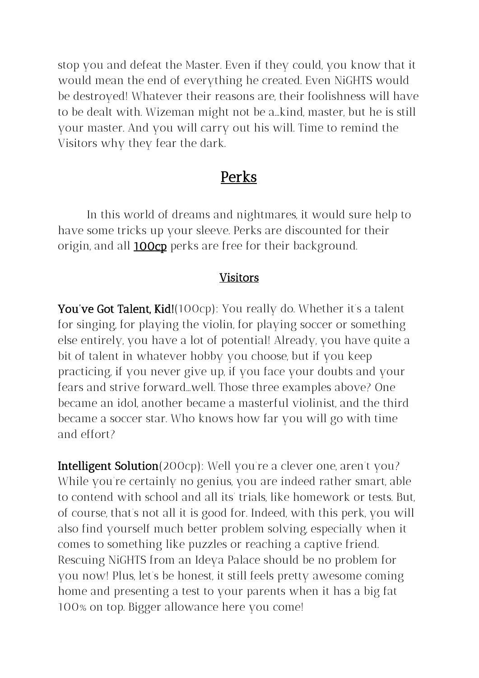stop you and defeat the Master. Even if they could, you know that it would mean the end of everything he created. Even NiGHTS would be destroyed! Whatever their reasons are, their foolishness will have to be dealt with. Wizeman might not be a...kind, master, but he is still your master. And you will carry out his will. Time to remind the Visitors why they fear the dark.

### **Perks**

In this world of dreams and nightmares, it would sure help to have some tricks up your sleeve. Perks are discounted for their origin, and all **100cp** perks are free for their background.

#### Visitors

You've Got Talent, Kid!(100cp): You really do. Whether it's a talent for singing, for playing the violin, for playing soccer or something else entirely, you have a lot of potential! Already, you have quite a bit of talent in whatever hobby you choose, but if you keep practicing, if you never give up, if you face your doubts and your fears and strive forward...well. Those three examples above? One became an idol, another became a masterful violinist, and the third became a soccer star. Who knows how far you will go with time and effort?

Intelligent Solution(200cp): Well you're a clever one, aren't you? While you're certainly no genius, you are indeed rather smart, able to contend with school and all its' trials, like homework or tests. But, of course, that's not all it is good for. Indeed, with this perk, you will also find yourself much better problem solving, especially when it comes to something like puzzles or reaching a captive friend. Rescuing NiGHTS from an Ideya Palace should be no problem for you now! Plus, let's be honest, it still feels pretty awesome coming home and presenting a test to your parents when it has a big fat 100% on top. Bigger allowance here you come!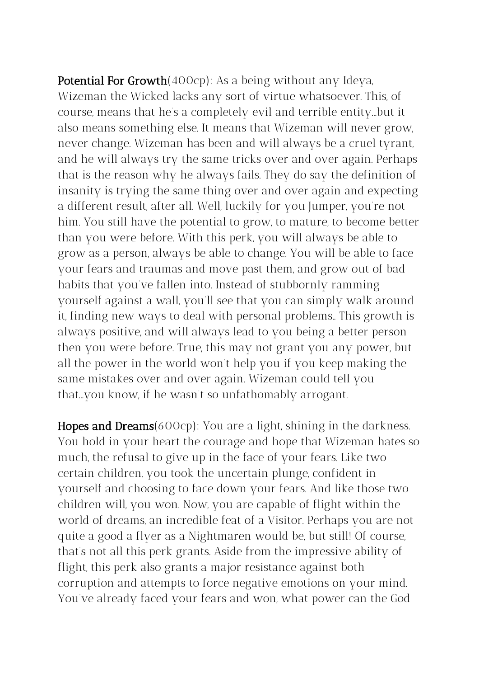Potential For Growth(400cp): As a being without any Ideya, Wizeman the Wicked lacks any sort of virtue whatsoever. This, of course, means that he's a completely evil and terrible entity...but it also means something else. It means that Wizeman will never grow, never change. Wizeman has been and will always be a cruel tyrant, and he will always try the same tricks over and over again. Perhaps that is the reason why he always fails. They do say the definition of insanity is trying the same thing over and over again and expecting a different result, after all. Well, luckily for you Jumper, you're not him. You still have the potential to grow, to mature, to become better than you were before. With this perk, you will always be able to grow as a person, always be able to change. You will be able to face your fears and traumas and move past them, and grow out of bad habits that you've fallen into. Instead of stubbornly ramming yourself against a wall, you'll see that you can simply walk around it, finding new ways to deal with personal problems.. This growth is always positive, and will always lead to you being a better person then you were before. True, this may not grant you any power, but all the power in the world won't help you if you keep making the same mistakes over and over again. Wizeman could tell you that...you know, if he wasn't so unfathomably arrogant.

Hopes and Dreams(600cp): You are a light, shining in the darkness. You hold in your heart the courage and hope that Wizeman hates so much, the refusal to give up in the face of your fears. Like two certain children, you took the uncertain plunge, confident in yourself and choosing to face down your fears. And like those two children will, you won. Now, you are capable of flight within the world of dreams, an incredible feat of a Visitor. Perhaps you are not quite a good a flyer as a Nightmaren would be, but still! Of course, that's not all this perk grants. Aside from the impressive ability of flight, this perk also grants a major resistance against both corruption and attempts to force negative emotions on your mind. You've already faced your fears and won, what power can the God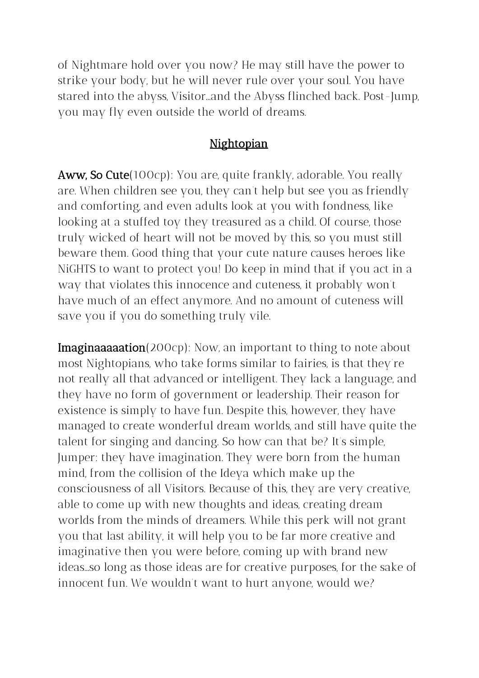of Nightmare hold over you now? He may still have the power to strike your body, but he will never rule over your soul. You have stared into the abyss, Visitor...and the Abyss flinched back. Post-Jump, you may fly even outside the world of dreams.

#### Nightopian

Aww, So Cute(100cp): You are, quite frankly, adorable. You really are. When children see you, they can't help but see you as friendly and comforting, and even adults look at you with fondness, like looking at a stuffed toy they treasured as a child. Of course, those truly wicked of heart will not be moved by this, so you must still beware them. Good thing that your cute nature causes heroes like NiGHTS to want to protect you! Do keep in mind that if you act in a way that violates this innocence and cuteness, it probably won't have much of an effect anymore. And no amount of cuteness will save you if you do something truly vile.

**Imaginaaaaation**(200cp): Now, an important to thing to note about most Nightopians, who take forms similar to fairies, is that they're not really all that advanced or intelligent. They lack a language, and they have no form of government or leadership. Their reason for existence is simply to have fun. Despite this, however, they have managed to create wonderful dream worlds, and still have quite the talent for singing and dancing. So how can that be? It's simple, Jumper: they have imagination. They were born from the human mind, from the collision of the Ideya which make up the consciousness of all Visitors. Because of this, they are very creative, able to come up with new thoughts and ideas, creating dream worlds from the minds of dreamers. While this perk will not grant you that last ability, it will help you to be far more creative and imaginative then you were before, coming up with brand new ideas...so long as those ideas are for creative purposes, for the sake of innocent fun. We wouldn't want to hurt anyone, would we?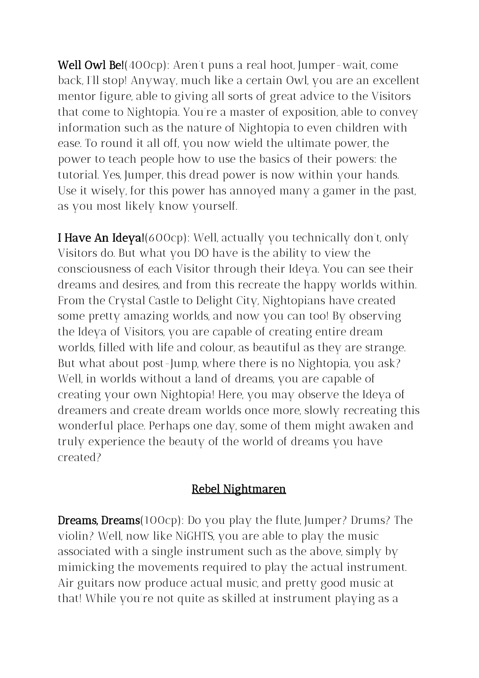Well Owl Be!(400cp): Aren't puns a real hoot, Jumper-wait, come back, I'll stop! Anyway, much like a certain Owl, you are an excellent mentor figure, able to giving all sorts of great advice to the Visitors that come to Nightopia. You're a master of exposition, able to convey information such as the nature of Nightopia to even children with ease. To round it all off, you now wield the ultimate power, the power to teach people how to use the basics of their powers: the tutorial. Yes, Jumper, this dread power is now within your hands. Use it wisely, for this power has annoyed many a gamer in the past, as you most likely know yourself.

I Have An Ideya!(600cp): Well, actually you technically don't, only Visitors do. But what you DO have is the ability to view the consciousness of each Visitor through their Ideya. You can see their dreams and desires, and from this recreate the happy worlds within. From the Crystal Castle to Delight City, Nightopians have created some pretty amazing worlds, and now you can too! By observing the Ideya of Visitors, you are capable of creating entire dream worlds, filled with life and colour, as beautiful as they are strange. But what about post-Jump, where there is no Nightopia, you ask? Well, in worlds without a land of dreams, you are capable of creating your own Nightopia! Here, you may observe the Ideya of dreamers and create dream worlds once more, slowly recreating this wonderful place. Perhaps one day, some of them might awaken and truly experience the beauty of the world of dreams you have created?

#### Rebel Nightmaren

Dreams, Dreams(100cp): Do you play the flute, Jumper? Drums? The violin? Well, now like NiGHTS, you are able to play the music associated with a single instrument such as the above, simply by mimicking the movements required to play the actual instrument. Air guitars now produce actual music, and pretty good music at that! While you're not quite as skilled at instrument playing as a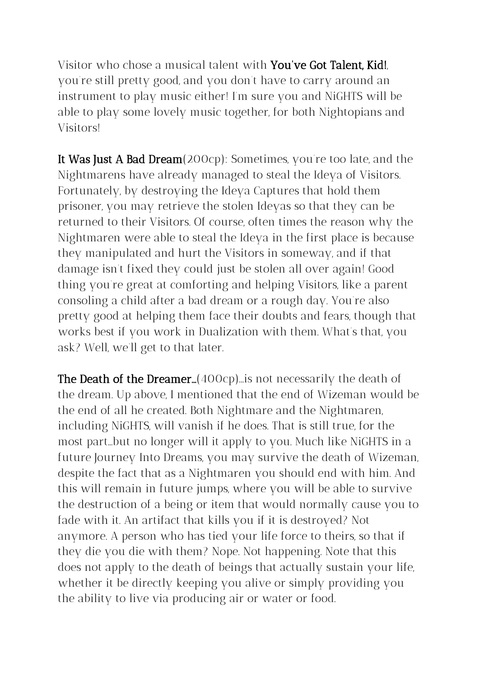Visitor who chose a musical talent with You've Got Talent, Kid!, you're still pretty good, and you don't have to carry around an instrument to play music either! I'm sure you and NiGHTS will be able to play some lovely music together, for both Nightopians and Visitors!

It Was Just A Bad Dream(200cp): Sometimes, you're too late, and the Nightmarens have already managed to steal the Ideya of Visitors. Fortunately, by destroying the Ideya Captures that hold them prisoner, you may retrieve the stolen Ideyas so that they can be returned to their Visitors. Of course, often times the reason why the Nightmaren were able to steal the Ideya in the first place is because they manipulated and hurt the Visitors in someway, and if that damage isn't fixed they could just be stolen all over again! Good thing you're great at comforting and helping Visitors, like a parent consoling a child after a bad dream or a rough day. You're also pretty good at helping them face their doubts and fears, though that works best if you work in Dualization with them. What's that, you ask? Well, we'll get to that later.

**The Death of the Dreamer...**  $(400cp)$ ... is not necessarily the death of the dream. Up above, I mentioned that the end of Wizeman would be the end of all he created. Both Nightmare and the Nightmaren, including NiGHTS, will vanish if he does. That is still true, for the most part...but no longer will it apply to you. Much like NiGHTS in a future Journey Into Dreams, you may survive the death of Wizeman, despite the fact that as a Nightmaren you should end with him. And this will remain in future jumps, where you will be able to survive the destruction of a being or item that would normally cause you to fade with it. An artifact that kills you if it is destroyed? Not anymore. A person who has tied your life force to theirs, so that if they die you die with them? Nope. Not happening. Note that this does not apply to the death of beings that actually sustain your life, whether it be directly keeping you alive or simply providing you the ability to live via producing air or water or food.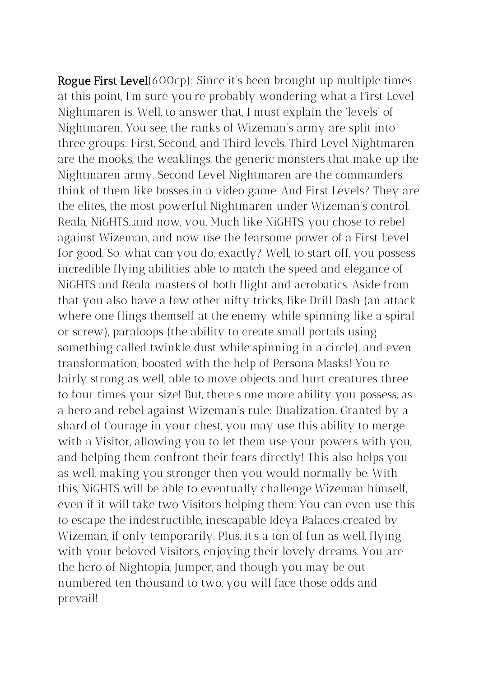Rogue First Level(600cp): Since it's been brought up multiple times at this point, I'm sure you're probably wondering what a First Level Nightmaren is. Well, to answer that, I must explain the 'levels' of Nightmaren. You see, the ranks of Wizeman's army are split into three groups: First, Second, and Third levels. Third Level Nightmaren are the mooks, the weaklings, the generic monsters that make up the Nightmaren army. Second Level Nightmaren are the commanders, think of them like bosses in a video game. And First Levels? They are the elites, the most powerful Nightmaren under Wizeman's control. Reala, NiGHTS...and now, you. Much like NiGHTS, you chose to rebel against Wizeman, and now use the fearsome power of a First Level for good. So, what can you do, exactly? Well, to start off, you possess incredible flying abilities, able to match the speed and elegance of NiGHTS and Reala, masters of both flight and acrobatics. Aside from that you also have a few other nifty tricks, like Drill Dash (an attack where one flings themself at the enemy while spinning like a spiral or screw), paraloops (the ability to create small portals using something called twinkle dust while spinning in a circle), and even transformation, boosted with the help of Persona Masks! You're fairly strong as well, able to move objects and hurt creatures three to four times your size! But, there's one more ability you possess, as a hero and rebel against Wizeman's rule: Dualization. Granted by a shard of Courage in your chest, you may use this ability to merge with a Visitor, allowing you to let them use your powers with you, and helping them confront their fears directly! This also helps you as well, making you stronger then you would normally be. With this, NiGHTS will be able to eventually challenge Wizeman himself, even if it will take two Visitors helping them. You can even use this to escape the indestructible, inescapable Ideya Palaces created by Wizeman, if only temporarily. Plus, it's a ton of fun as well, flying with your beloved Visitors, enjoying their lovely dreams. You are the hero of Nightopia, Jumper, and though you may be out numbered ten thousand to two, you will face those odds and prevail!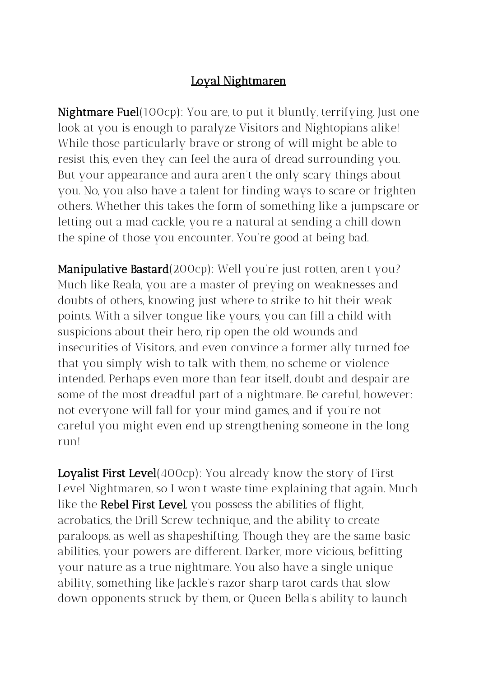#### Loyal Nightmaren

Nightmare Fuel(100cp): You are, to put it bluntly, terrifying. Just one look at you is enough to paralyze Visitors and Nightopians alike! While those particularly brave or strong of will might be able to resist this, even they can feel the aura of dread surrounding you. But your appearance and aura aren't the only scary things about you. No, you also have a talent for finding ways to scare or frighten others. Whether this takes the form of something like a jumpscare or letting out a mad cackle, you're a natural at sending a chill down the spine of those you encounter. You're good at being bad.

Manipulative Bastard(200cp): Well you're just rotten, aren't you? Much like Reala, you are a master of preying on weaknesses and doubts of others, knowing just where to strike to hit their weak points. With a silver tongue like yours, you can fill a child with suspicions about their hero, rip open the old wounds and insecurities of Visitors, and even convince a former ally turned foe that you simply wish to talk with them, no scheme or violence intended. Perhaps even more than fear itself, doubt and despair are some of the most dreadful part of a nightmare. Be careful, however: not everyone will fall for your mind games, and if you're not careful you might even end up strengthening someone in the long run!

Loyalist First Level(400cp): You already know the story of First Level Nightmaren, so I won't waste time explaining that again. Much like the Rebel First Level, you possess the abilities of flight, acrobatics, the Drill Screw technique, and the ability to create paraloops, as well as shapeshifting. Though they are the same basic abilities, your powers are different. Darker, more vicious, befitting your nature as a true nightmare. You also have a single unique ability, something like Jackle's razor sharp tarot cards that slow down opponents struck by them, or Queen Bella's ability to launch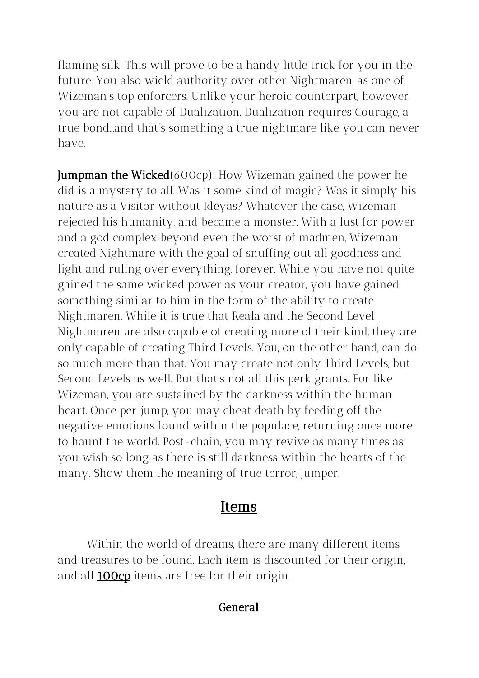flaming silk. This will prove to be a handy little trick for you in the future. You also wield authority over other Nightmaren, as one of Wizeman's top enforcers. Unlike your heroic counterpart, however, you are not capable of Dualization. Dualization requires Courage, a true bond...and that's something a true nightmare like you can never have.

Jumpman the Wicked(600cp): How Wizeman gained the power he did is a mystery to all. Was it some kind of magic? Was it simply his nature as a Visitor without Ideyas? Whatever the case, Wizeman rejected his humanity, and became a monster. With a lust for power and a god complex beyond even the worst of madmen, Wizeman created Nightmare with the goal of snuffing out all goodness and light and ruling over everything, forever. While you have not quite gained the same wicked power as your creator, you have gained something similar to him in the form of the ability to create Nightmaren. While it is true that Reala and the Second Level Nightmaren are also capable of creating more of their kind, they are only capable of creating Third Levels. You, on the other hand, can do so much more than that. You may create not only Third Levels, but Second Levels as well. But that's not all this perk grants. For like Wizeman, you are sustained by the darkness within the human heart. Once per jump, you may cheat death by feeding off the negative emotions found within the populace, returning once more to haunt the world. Post-chain, you may revive as many times as you wish so long as there is still darkness within the hearts of the many. Show them the meaning of true terror, Jumper.

## **Items**

Within the world of dreams, there are many different items and treasures to be found. Each item is discounted for their origin, and all **100cp** items are free for their origin.

#### General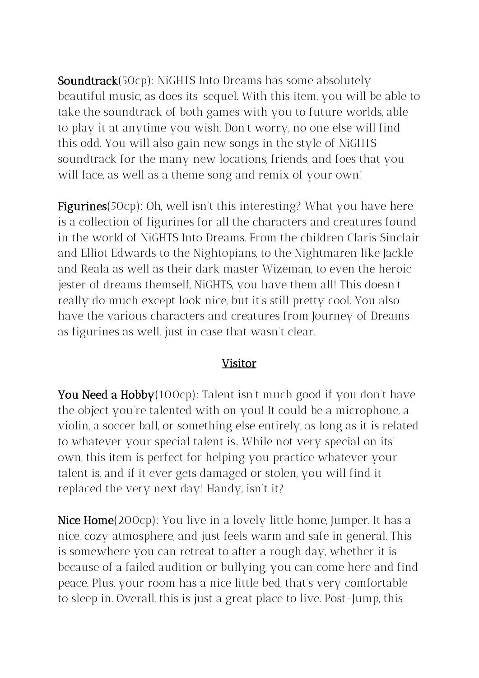**Soundtrack**(50cp): NiGHTS Into Dreams has some absolutely beautiful music, as does its' sequel. With this item, you will be able to take the soundtrack of both games with you to future worlds, able to play it at anytime you wish. Don't worry, no one else will find this odd. You will also gain new songs in the style of NiGHTS soundtrack for the many new locations, friends, and foes that you will face, as well as a theme song and remix of your own!

Figurines(50cp): Oh, well isn't this interesting? What you have here is a collection of figurines for all the characters and creatures found in the world of NiGHTS Into Dreams. From the children Claris Sinclair and Elliot Edwards to the Nightopians, to the Nightmaren like Jackle and Reala as well as their dark master Wizeman, to even the heroic jester of dreams themself, NiGHTS, you have them all! This doesn't really do much except look nice, but it's still pretty cool. You also have the various characters and creatures from Journey of Dreams as figurines as well, just in case that wasn't clear.

#### Visitor

You Need a Hobby(100cp): Talent isn't much good if you don't have the object you're talented with on you! It could be a microphone, a violin, a soccer ball, or something else entirely, as long as it is related to whatever your special talent is.. While not very special on its' own, this item is perfect for helping you practice whatever your talent is, and if it ever gets damaged or stolen, you will find it replaced the very next day! Handy, isn't it?

Nice Home(200cp): You live in a lovely little home, Jumper. It has a nice, cozy atmosphere, and just feels warm and safe in general. This is somewhere you can retreat to after a rough day, whether it is because of a failed audition or bullying, you can come here and find peace. Plus, your room has a nice little bed, that's very comfortable to sleep in. Overall, this is just a great place to live. Post-Jump, this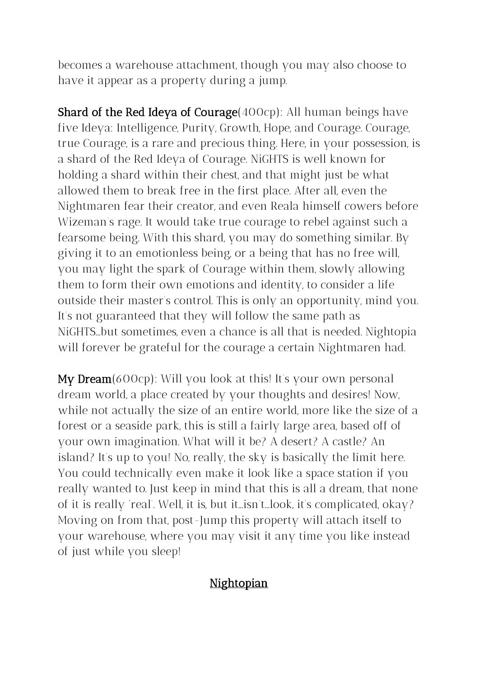becomes a warehouse attachment, though you may also choose to have it appear as a property during a jump.

**Shard of the Red Ideya of Courage** (400cp): All human beings have five Ideya: Intelligence, Purity, Growth, Hope, and Courage. Courage, true Courage, is a rare and precious thing. Here, in your possession, is a shard of the Red Ideya of Courage. NiGHTS is well known for holding a shard within their chest, and that might just be what allowed them to break free in the first place. After all, even the Nightmaren fear their creator, and even Reala himself cowers before Wizeman's rage. It would take true courage to rebel against such a fearsome being. With this shard, you may do something similar. By giving it to an emotionless being, or a being that has no free will, you may light the spark of Courage within them, slowly allowing them to form their own emotions and identity, to consider a life outside their master's control. This is only an opportunity, mind you. It's not guaranteed that they will follow the same path as NiGHTS...but sometimes, even a chance is all that is needed. Nightopia will forever be grateful for the courage a certain Nightmaren had.

My Dream(600cp): Will you look at this! It's your own personal dream world, a place created by your thoughts and desires! Now, while not actually the size of an entire world, more like the size of a forest or a seaside park, this is still a fairly large area, based off of your own imagination. What will it be? A desert? A castle? An island? It's up to you! No, really, the sky is basically the limit here. You could technically even make it look like a space station if you really wanted to. Just keep in mind that this is all a dream, that none of it is really 'real'. Well, it is, but it...isn't...look, it's complicated, okay? Moving on from that, post-Jump this property will attach itself to your warehouse, where you may visit it any time you like instead of just while you sleep!

#### Nightopian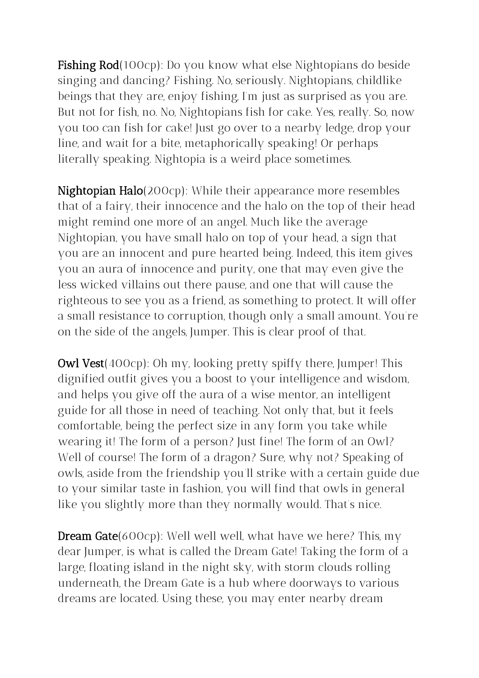Fishing Rod(100cp): Do you know what else Nightopians do beside singing and dancing? Fishing. No, seriously. Nightopians, childlike beings that they are, enjoy fishing, I'm just as surprised as you are. But not for fish, no. No, Nightopians fish for cake. Yes, really. So, now you too can fish for cake! Just go over to a nearby ledge, drop your line, and wait for a bite, metaphorically speaking! Or perhaps literally speaking. Nightopia is a weird place sometimes.

Nightopian Halo(200cp): While their appearance more resembles that of a fairy, their innocence and the halo on the top of their head might remind one more of an angel. Much like the average Nightopian, you have small halo on top of your head, a sign that you are an innocent and pure hearted being. Indeed, this item gives you an aura of innocence and purity, one that may even give the less wicked villains out there pause, and one that will cause the righteous to see you as a friend, as something to protect. It will offer a small resistance to corruption, though only a small amount. You're on the side of the angels, Jumper. This is clear proof of that.

**Owl Vest**(400cp): Oh my, looking pretty spiffy there, Jumper! This dignified outfit gives you a boost to your intelligence and wisdom, and helps you give off the aura of a wise mentor, an intelligent guide for all those in need of teaching. Not only that, but it feels comfortable, being the perfect size in any form you take while wearing it! The form of a person? Just fine! The form of an Owl? Well of course! The form of a dragon? Sure, why not? Speaking of owls, aside from the friendship you'll strike with a certain guide due to your similar taste in fashion, you will find that owls in general like you slightly more than they normally would. That's nice.

**Dream Gate**(600cp): Well well well, what have we here? This, my dear Jumper, is what is called the Dream Gate! Taking the form of a large, floating island in the night sky, with storm clouds rolling underneath, the Dream Gate is a hub where doorways to various dreams are located. Using these, you may enter nearby dream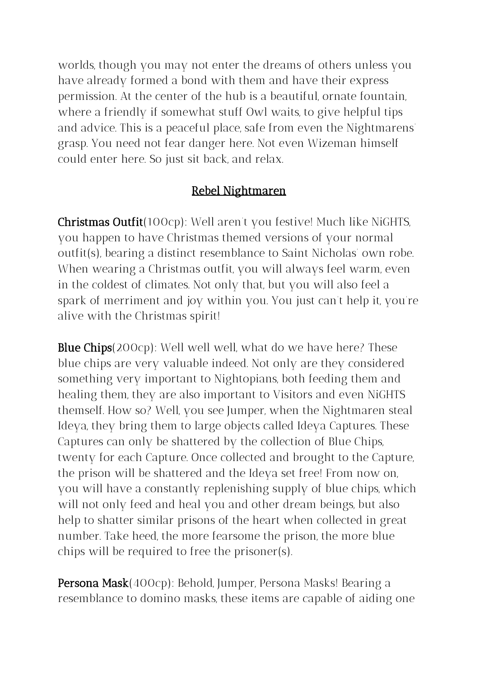worlds, though you may not enter the dreams of others unless you have already formed a bond with them and have their express permission. At the center of the hub is a beautiful, ornate fountain, where a friendly if somewhat stuff Owl waits, to give helpful tips and advice. This is a peaceful place, safe from even the Nightmarens' grasp. You need not fear danger here. Not even Wizeman himself could enter here. So just sit back, and relax.

#### Rebel Nightmaren

Christmas Outfit(100cp): Well aren't you festive! Much like NiGHTS, you happen to have Christmas themed versions of your normal outfit(s), bearing a distinct resemblance to Saint Nicholas' own robe. When wearing a Christmas outfit, you will always feel warm, even in the coldest of climates. Not only that, but you will also feel a spark of merriment and joy within you. You just can't help it, you're alive with the Christmas spirit!

Blue Chips(200cp): Well well well, what do we have here? These blue chips are very valuable indeed. Not only are they considered something very important to Nightopians, both feeding them and healing them, they are also important to Visitors and even NiGHTS themself. How so? Well, you see Jumper, when the Nightmaren steal Ideya, they bring them to large objects called Ideya Captures. These Captures can only be shattered by the collection of Blue Chips, twenty for each Capture. Once collected and brought to the Capture, the prison will be shattered and the Ideya set free! From now on, you will have a constantly replenishing supply of blue chips, which will not only feed and heal you and other dream beings, but also help to shatter similar prisons of the heart when collected in great number. Take heed, the more fearsome the prison, the more blue chips will be required to free the prisoner(s).

Persona Mask(400cp): Behold, Jumper, Persona Masks! Bearing a resemblance to domino masks, these items are capable of aiding one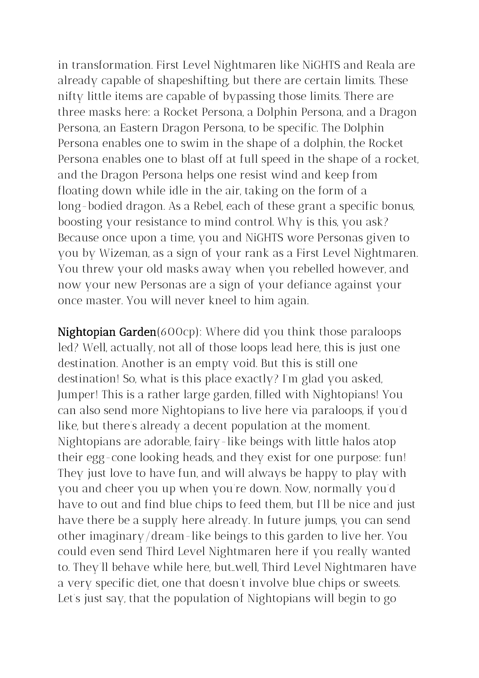in transformation. First Level Nightmaren like NiGHTS and Reala are already capable of shapeshifting, but there are certain limits. These nifty little items are capable of bypassing those limits. There are three masks here: a Rocket Persona, a Dolphin Persona, and a Dragon Persona, an Eastern Dragon Persona, to be specific. The Dolphin Persona enables one to swim in the shape of a dolphin, the Rocket Persona enables one to blast off at full speed in the shape of a rocket, and the Dragon Persona helps one resist wind and keep from floating down while idle in the air, taking on the form of a long-bodied dragon. As a Rebel, each of these grant a specific bonus, boosting your resistance to mind control. Why is this, you ask? Because once upon a time, you and NiGHTS wore Personas given to you by Wizeman, as a sign of your rank as a First Level Nightmaren. You threw your old masks away when you rebelled however, and now your new Personas are a sign of your defiance against your once master. You will never kneel to him again.

Nightopian Garden(600cp): Where did you think those paraloops led? Well, actually, not all of those loops lead here, this is just one destination. Another is an empty void. But this is still one destination! So, what is this place exactly? I'm glad you asked, Jumper! This is a rather large garden, filled with Nightopians! You can also send more Nightopians to live here via paraloops, if you'd like, but there's already a decent population at the moment. Nightopians are adorable, fairy-like beings with little halos atop their egg-cone looking heads, and they exist for one purpose: fun! They just love to have fun, and will always be happy to play with you and cheer you up when you're down. Now, normally you'd have to out and find blue chips to feed them, but I'll be nice and just have there be a supply here already. In future jumps, you can send other imaginary/dream-like beings to this garden to live her. You could even send Third Level Nightmaren here if you really wanted to. They'll behave while here, but..well, Third Level Nightmaren have a very specific diet, one that doesn't involve blue chips or sweets. Let's just say, that the population of Nightopians will begin to go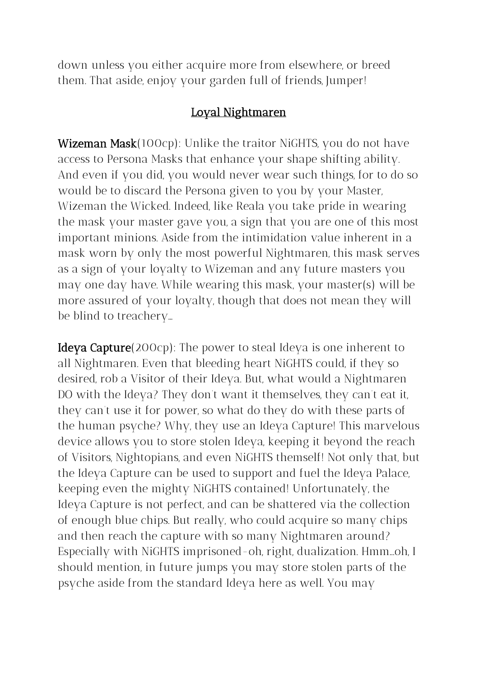down unless you either acquire more from elsewhere, or breed them. That aside, enjoy your garden full of friends, Jumper!

#### Loyal Nightmaren

**Wizeman Mask**(100cp): Unlike the traitor NiGHTS, you do not have access to Persona Masks that enhance your shape shifting ability. And even if you did, you would never wear such things, for to do so would be to discard the Persona given to you by your Master, Wizeman the Wicked. Indeed, like Reala you take pride in wearing the mask your master gave you, a sign that you are one of this most important minions. Aside from the intimidation value inherent in a mask worn by only the most powerful Nightmaren, this mask serves as a sign of your loyalty to Wizeman and any future masters you may one day have. While wearing this mask, your master(s) will be more assured of your loyalty, though that does not mean they will be blind to treachery…

Ideya Capture(200cp): The power to steal Ideya is one inherent to all Nightmaren. Even that bleeding heart NiGHTS could, if they so desired, rob a Visitor of their Ideya. But, what would a Nightmaren DO with the Ideya? They don't want it themselves, they can't eat it, they can't use it for power, so what do they do with these parts of the human psyche? Why, they use an Ideya Capture! This marvelous device allows you to store stolen Ideya, keeping it beyond the reach of Visitors, Nightopians, and even NiGHTS themself! Not only that, but the Ideya Capture can be used to support and fuel the Ideya Palace, keeping even the mighty NiGHTS contained! Unfortunately, the Ideya Capture is not perfect, and can be shattered via the collection of enough blue chips. But really, who could acquire so many chips and then reach the capture with so many Nightmaren around? Especially with NiGHTS imprisoned-oh, right, dualization. Hmm...oh, I should mention, in future jumps you may store stolen parts of the psyche aside from the standard Ideya here as well. You may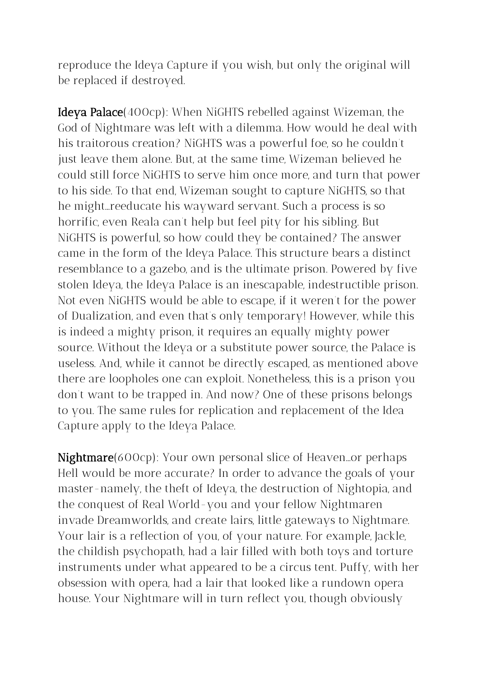reproduce the Ideya Capture if you wish, but only the original will be replaced if destroyed.

Ideya Palace(400cp): When NiGHTS rebelled against Wizeman, the God of Nightmare was left with a dilemma. How would he deal with his traitorous creation? NiGHTS was a powerful foe, so he couldn't just leave them alone. But, at the same time, Wizeman believed he could still force NiGHTS to serve him once more, and turn that power to his side. To that end, Wizeman sought to capture NiGHTS, so that he might...reeducate his wayward servant. Such a process is so horrific, even Reala can't help but feel pity for his sibling. But NiGHTS is powerful, so how could they be contained? The answer came in the form of the Ideya Palace. This structure bears a distinct resemblance to a gazebo, and is the ultimate prison. Powered by five stolen Ideya, the Ideya Palace is an inescapable, indestructible prison. Not even NiGHTS would be able to escape, if it weren't for the power of Dualization, and even that's only temporary! However, while this is indeed a mighty prison, it requires an equally mighty power source. Without the Ideya or a substitute power source, the Palace is useless. And, while it cannot be directly escaped, as mentioned above there are loopholes one can exploit. Nonetheless, this is a prison you don't want to be trapped in. And now? One of these prisons belongs to you. The same rules for replication and replacement of the Idea Capture apply to the Ideya Palace.

Nightmare(600cp): Your own personal slice of Heaven...or perhaps Hell would be more accurate? In order to advance the goals of your master-namely, the theft of Ideya, the destruction of Nightopia, and the conquest of Real World-you and your fellow Nightmaren invade Dreamworlds, and create lairs, little gateways to Nightmare. Your lair is a reflection of you, of your nature. For example, Jackle, the childish psychopath, had a lair filled with both toys and torture instruments under what appeared to be a circus tent. Puffy, with her obsession with opera, had a lair that looked like a rundown opera house. Your Nightmare will in turn reflect you, though obviously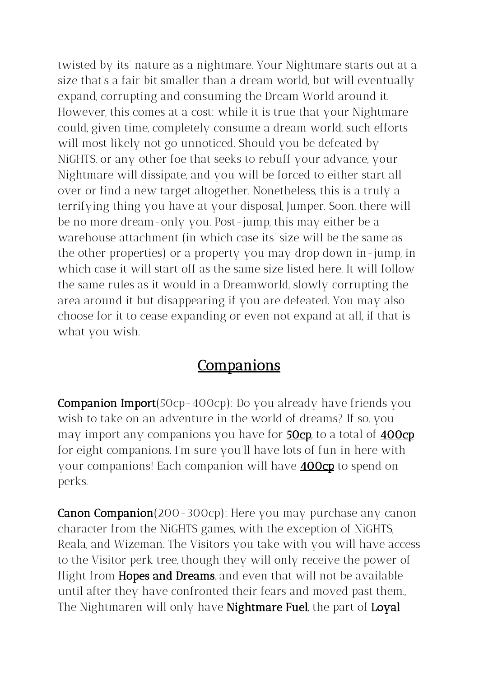twisted by its' nature as a nightmare. Your Nightmare starts out at a size that's a fair bit smaller than a dream world, but will eventually expand, corrupting and consuming the Dream World around it. However, this comes at a cost: while it is true that your Nightmare could, given time, completely consume a dream world, such efforts will most likely not go unnoticed. Should you be defeated by NiGHTS, or any other foe that seeks to rebuff your advance, your Nightmare will dissipate, and you will be forced to either start all over or find a new target altogether. Nonetheless, this is a truly a terrifying thing you have at your disposal, Jumper. Soon, there will be no more dream-only you. Post-jump, this may either be a warehouse attachment (in which case its' size will be the same as the other properties) or a property you may drop down in-jump, in which case it will start off as the same size listed here. It will follow the same rules as it would in a Dreamworld, slowly corrupting the area around it but disappearing if you are defeated. You may also choose for it to cease expanding or even not expand at all, if that is what you wish.

# **Companions**

Companion Import(50cp-400cp): Do you already have friends you wish to take on an adventure in the world of dreams? If so, you may import any companions you have for **50cp** to a total of **400cp** for eight companions. I'm sure you'll have lots of fun in here with your companions! Each companion will have **400cp** to spend on perks.

**Canon Companion**(200-300cp): Here you may purchase any canon character from the NiGHTS games, with the exception of NiGHTS, Reala, and Wizeman. The Visitors you take with you will have access to the Visitor perk tree, though they will only receive the power of flight from **Hopes and Dreams**, and even that will not be available until after they have confronted their fears and moved past them., The Nightmaren will only have Nightmare Fuel, the part of Loyal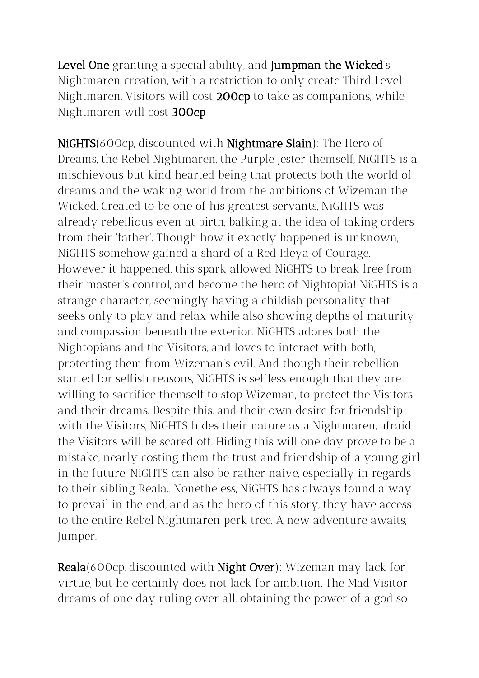Level One granting a special ability, and Jumpman the Wicked's Nightmaren creation, with a restriction to only create Third Level Nightmaren. Visitors will cost 200cp to take as companions, while Nightmaren will cost 300cp

NiGHTS(600cp, discounted with Nightmare Slain): The Hero of Dreams, the Rebel Nightmaren, the Purple Jester themself, NiGHTS is a mischievous but kind hearted being that protects both the world of dreams and the waking world from the ambitions of Wizeman the Wicked. Created to be one of his greatest servants, NiGHTS was already rebellious even at birth, balking at the idea of taking orders from their 'father'. Though how it exactly happened is unknown, NiGHTS somehow gained a shard of a Red Ideya of Courage. However it happened, this spark allowed NiGHTS to break free from their master's control, and become the hero of Nightopia! NiGHTS is a strange character, seemingly having a childish personality that seeks only to play and relax while also showing depths of maturity and compassion beneath the exterior. NiGHTS adores both the Nightopians and the Visitors, and loves to interact with both, protecting them from Wizeman's evil. And though their rebellion started for selfish reasons, NiGHTS is selfless enough that they are willing to sacrifice themself to stop Wizeman, to protect the Visitors and their dreams. Despite this, and their own desire for friendship with the Visitors, NiGHTS hides their nature as a Nightmaren, afraid the Visitors will be scared off. Hiding this will one day prove to be a mistake, nearly costing them the trust and friendship of a young girl in the future. NiGHTS can also be rather naive, especially in regards to their sibling Reala.. Nonetheless, NiGHTS has always found a way to prevail in the end, and as the hero of this story, they have access to the entire Rebel Nightmaren perk tree. A new adventure awaits, Jumper.

Reala(600cp, discounted with Night Over): Wizeman may lack for virtue, but he certainly does not lack for ambition. The Mad Visitor dreams of one day ruling over all, obtaining the power of a god so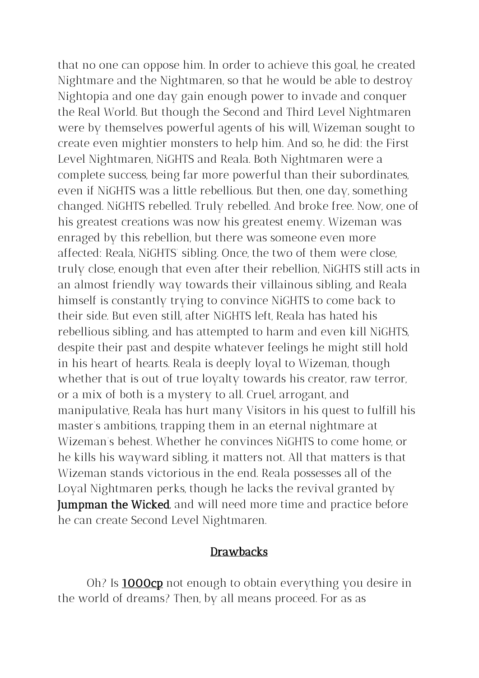that no one can oppose him. In order to achieve this goal, he created Nightmare and the Nightmaren, so that he would be able to destroy Nightopia and one day gain enough power to invade and conquer the Real World. But though the Second and Third Level Nightmaren were by themselves powerful agents of his will, Wizeman sought to create even mightier monsters to help him. And so, he did: the First Level Nightmaren, NiGHTS and Reala. Both Nightmaren were a complete success, being far more powerful than their subordinates, even if NiGHTS was a little rebellious. But then, one day, something changed. NiGHTS rebelled. Truly rebelled. And broke free. Now, one of his greatest creations was now his greatest enemy. Wizeman was enraged by this rebellion, but there was someone even more affected: Reala, NiGHTS' sibling. Once, the two of them were close, truly close, enough that even after their rebellion, NiGHTS still acts in an almost friendly way towards their villainous sibling, and Reala himself is constantly trying to convince NiGHTS to come back to their side. But even still, after NiGHTS left, Reala has hated his rebellious sibling, and has attempted to harm and even kill NiGHTS, despite their past and despite whatever feelings he might still hold in his heart of hearts. Reala is deeply loyal to Wizeman, though whether that is out of true loyalty towards his creator, raw terror, or a mix of both is a mystery to all. Cruel, arrogant, and manipulative, Reala has hurt many Visitors in his quest to fulfill his master's ambitions, trapping them in an eternal nightmare at Wizeman's behest. Whether he convinces NiGHTS to come home, or he kills his wayward sibling, it matters not. All that matters is that Wizeman stands victorious in the end. Reala possesses all of the Loyal Nightmaren perks, though he lacks the revival granted by **Jumpman the Wicked**, and will need more time and practice before he can create Second Level Nightmaren.

#### **Drawbacks**

Oh? Is **1000cp** not enough to obtain everything you desire in the world of dreams? Then, by all means proceed. For as as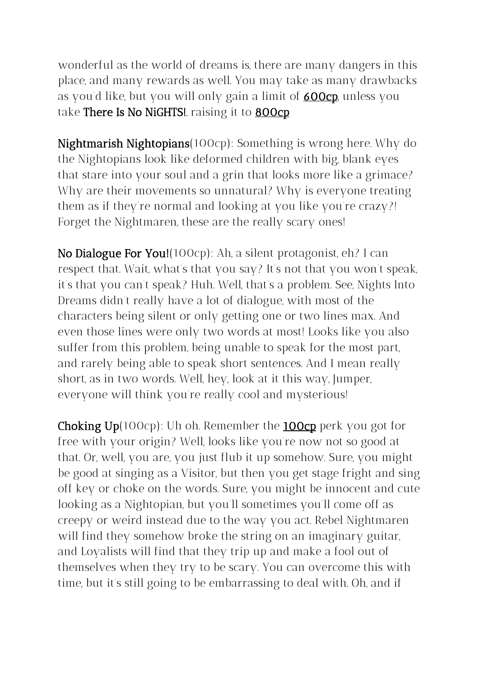wonderful as the world of dreams is, there are many dangers in this place, and many rewards as well. You may take as many drawbacks as you'd like, but you will only gain a limit of **600cp** unless you take There Is No NiGHTS!, raising it to **800cp** 

Nightmarish Nightopians(100cp): Something is wrong here. Why do the Nightopians look like deformed children with big, blank eyes that stare into your soul and a grin that looks more like a grimace? Why are their movements so unnatural? Why is everyone treating them as if they're normal and looking at you like you're crazy?! Forget the Nightmaren, these are the really scary ones!

No Dialogue For You!(100cp): Ah, a silent protagonist, eh? I can respect that. Wait, what's that you say? It's not that you won't speak, it's that you can't speak? Huh. Well, that's a problem. See, Nights Into Dreams didn't really have a lot of dialogue, with most of the characters being silent or only getting one or two lines max. And even those lines were only two words at most! Looks like you also suffer from this problem, being unable to speak for the most part, and rarely being able to speak short sentences. And I mean really short, as in two words. Well, hey, look at it this way, Jumper, everyone will think you're really cool and mysterious!

Choking Up(100cp): Uh oh. Remember the 100cp perk you got for free with your origin? Well, looks like you're now not so good at that. Or, well, you are, you just flub it up somehow. Sure, you might be good at singing as a Visitor, but then you get stage fright and sing off key or choke on the words. Sure, you might be innocent and cute looking as a Nightopian, but you'll sometimes you'll come off as creepy or weird instead due to the way you act. Rebel Nightmaren will find they somehow broke the string on an imaginary guitar, and Loyalists will find that they trip up and make a fool out of themselves when they try to be scary. You can overcome this with time, but it's still going to be embarrassing to deal with. Oh, and if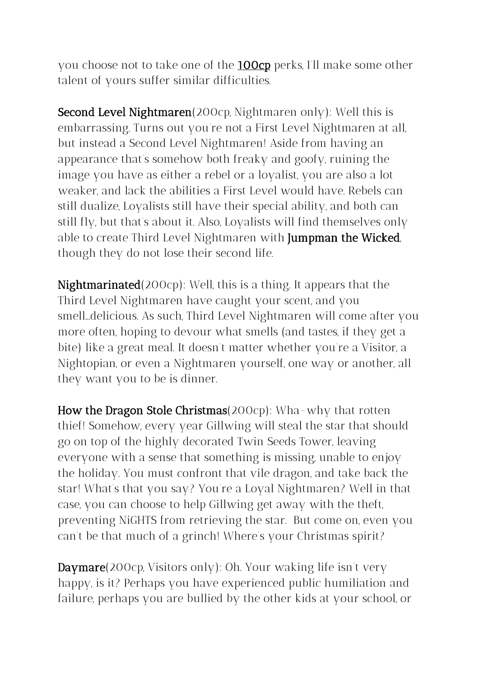you choose not to take one of the **100cp** perks, I'll make some other talent of yours suffer similar difficulties.

Second Level Nightmaren(200cp, Nightmaren only): Well this is embarrassing. Turns out you're not a First Level Nightmaren at all, but instead a Second Level Nightmaren! Aside from having an appearance that's somehow both freaky and goofy, ruining the image you have as either a rebel or a loyalist, you are also a lot weaker, and lack the abilities a First Level would have. Rebels can still dualize, Loyalists still have their special ability, and both can still fly, but that's about it. Also, Loyalists will find themselves only able to create Third Level Nightmaren with Jumpman the Wicked, though they do not lose their second life.

Nightmarinated(200cp): Well, this is a thing. It appears that the Third Level Nightmaren have caught your scent, and you smell...delicious. As such, Third Level Nightmaren will come after you more often, hoping to devour what smells (and tastes, if they get a bite) like a great meal. It doesn't matter whether you're a Visitor, a Nightopian, or even a Nightmaren yourself, one way or another, all they want you to be is dinner.

How the Dragon Stole Christmas(200cp): Wha-why that rotten thief! Somehow, every year Gillwing will steal the star that should go on top of the highly decorated Twin Seeds Tower, leaving everyone with a sense that something is missing, unable to enjoy the holiday. You must confront that vile dragon, and take back the star! What's that you say? You're a Loyal Nightmaren? Well in that case, you can choose to help Gillwing get away with the theft, preventing NiGHTS from retrieving the star. But come on, even you can't be that much of a grinch! Where's your Christmas spirit?

Daymare(200cp, Visitors only): Oh. Your waking life isn't very happy, is it? Perhaps you have experienced public humiliation and failure, perhaps you are bullied by the other kids at your school, or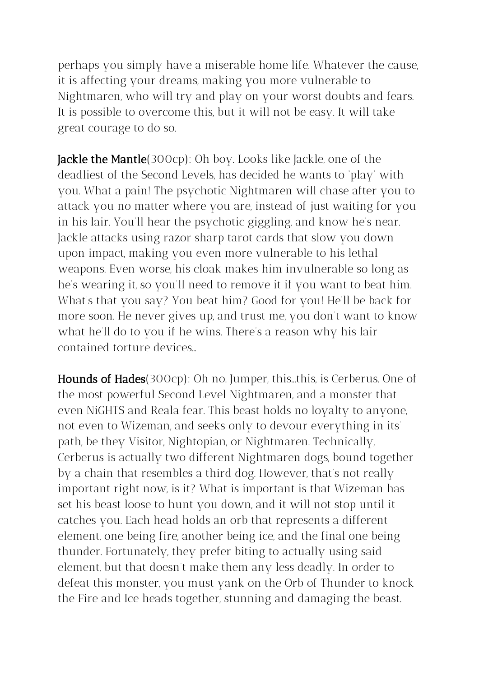perhaps you simply have a miserable home life. Whatever the cause, it is affecting your dreams, making you more vulnerable to Nightmaren, who will try and play on your worst doubts and fears. It is possible to overcome this, but it will not be easy. It will take great courage to do so.

**Jackle the Mantle**(300cp): Oh boy. Looks like Jackle, one of the deadliest of the Second Levels, has decided he wants to 'play' with you. What a pain! The psychotic Nightmaren will chase after you to attack you no matter where you are, instead of just waiting for you in his lair. You'll hear the psychotic giggling, and know he's near. Jackle attacks using razor sharp tarot cards that slow you down upon impact, making you even more vulnerable to his lethal weapons. Even worse, his cloak makes him invulnerable so long as he's wearing it, so you'll need to remove it if you want to beat him. What's that you say? You beat him? Good for you! He'll be back for more soon. He never gives up, and trust me, you don't want to know what he'll do to you if he wins. There's a reason why his lair contained torture devices…

Hounds of Hades(300cp): Oh no. Jumper, this...this, is Cerberus. One of the most powerful Second Level Nightmaren, and a monster that even NiGHTS and Reala fear. This beast holds no loyalty to anyone, not even to Wizeman, and seeks only to devour everything in its' path, be they Visitor, Nightopian, or Nightmaren. Technically, Cerberus is actually two different Nightmaren dogs, bound together by a chain that resembles a third dog. However, that's not really important right now, is it? What is important is that Wizeman has set his beast loose to hunt you down, and it will not stop until it catches you. Each head holds an orb that represents a different element, one being fire, another being ice, and the final one being thunder. Fortunately, they prefer biting to actually using said element, but that doesn't make them any less deadly. In order to defeat this monster, you must yank on the Orb of Thunder to knock the Fire and Ice heads together, stunning and damaging the beast.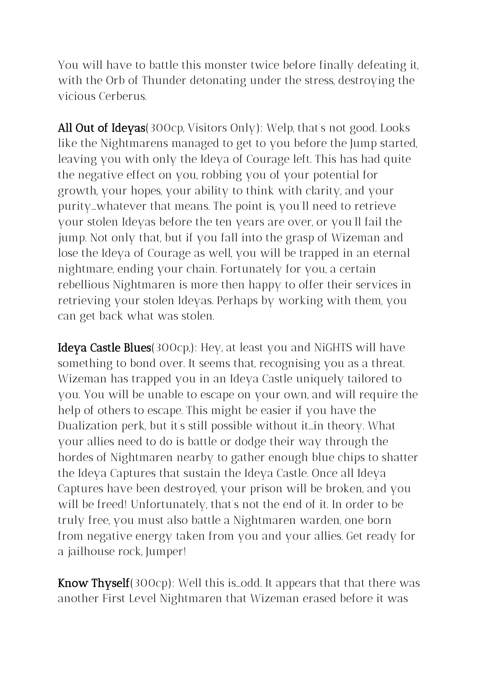You will have to battle this monster twice before finally defeating it, with the Orb of Thunder detonating under the stress, destroying the vicious Cerberus.

All Out of Ideyas(300cp, Visitors Only): Welp, that's not good. Looks like the Nightmarens managed to get to you before the Jump started, leaving you with only the Ideya of Courage left. This has had quite the negative effect on you, robbing you of your potential for growth, your hopes, your ability to think with clarity, and your purity...whatever that means. The point is, you'll need to retrieve your stolen Ideyas before the ten years are over, or you'll fail the jump. Not only that, but if you fall into the grasp of Wizeman and lose the Ideya of Courage as well, you will be trapped in an eternal nightmare, ending your chain. Fortunately for you, a certain rebellious Nightmaren is more then happy to offer their services in retrieving your stolen Ideyas. Perhaps by working with them, you can get back what was stolen.

Ideya Castle Blues(300cp,): Hey, at least you and NiGHTS will have something to bond over. It seems that, recognising you as a threat. Wizeman has trapped you in an Ideya Castle uniquely tailored to you. You will be unable to escape on your own, and will require the help of others to escape. This might be easier if you have the Dualization perk, but it's still possible without it...in theory. What your allies need to do is battle or dodge their way through the hordes of Nightmaren nearby to gather enough blue chips to shatter the Ideya Captures that sustain the Ideya Castle. Once all Ideya Captures have been destroyed, your prison will be broken, and you will be freed! Unfortunately, that's not the end of it. In order to be truly free, you must also battle a Nightmaren warden, one born from negative energy taken from you and your allies. Get ready for a jailhouse rock, Jumper!

**Know Thyself**(300cp): Well this is ...odd. It appears that that there was another First Level Nightmaren that Wizeman erased before it was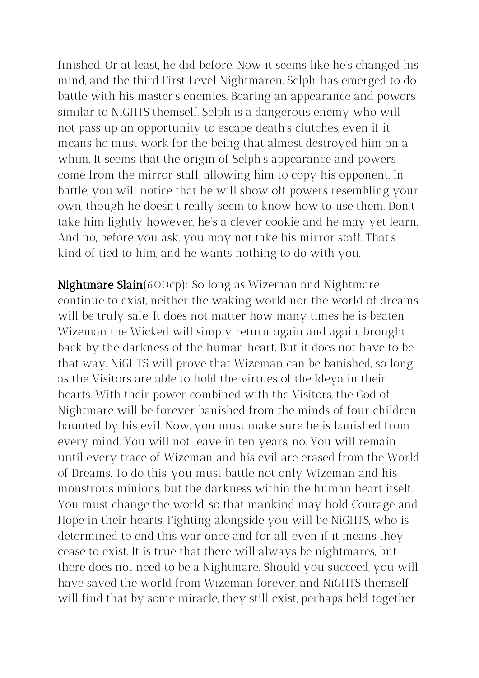finished. Or at least, he did before. Now it seems like he's changed his mind, and the third First Level Nightmaren, Selph, has emerged to do battle with his master's enemies. Bearing an appearance and powers similar to NiGHTS themself, Selph is a dangerous enemy who will not pass up an opportunity to escape death's clutches, even if it means he must work for the being that almost destroyed him on a whim. It seems that the origin of Selph's appearance and powers come from the mirror staff, allowing him to copy his opponent. In battle, you will notice that he will show off powers resembling your own, though he doesn't really seem to know how to use them. Don't take him lightly however, he's a clever cookie and he may yet learn. And no, before you ask, you may not take his mirror staff. That's kind of tied to him, and he wants nothing to do with you.

Nightmare Slain(600cp): So long as Wizeman and Nightmare continue to exist, neither the waking world nor the world of dreams will be truly safe. It does not matter how many times he is beaten, Wizeman the Wicked will simply return, again and again, brought back by the darkness of the human heart. But it does not have to be that way. NiGHTS will prove that Wizeman can be banished, so long as the Visitors are able to hold the virtues of the Ideya in their hearts. With their power combined with the Visitors, the God of Nightmare will be forever banished from the minds of four children haunted by his evil. Now, you must make sure he is banished from every mind. You will not leave in ten years, no. You will remain until every trace of Wizeman and his evil are erased from the World of Dreams. To do this, you must battle not only Wizeman and his monstrous minions, but the darkness within the human heart itself. You must change the world, so that mankind may hold Courage and Hope in their hearts. Fighting alongside you will be NiGHTS, who is determined to end this war once and for all, even if it means they cease to exist. It is true that there will always be nightmares, but there does not need to be a Nightmare. Should you succeed, you will have saved the world from Wizeman forever, and NiGHTS themself will find that by some miracle, they still exist, perhaps held together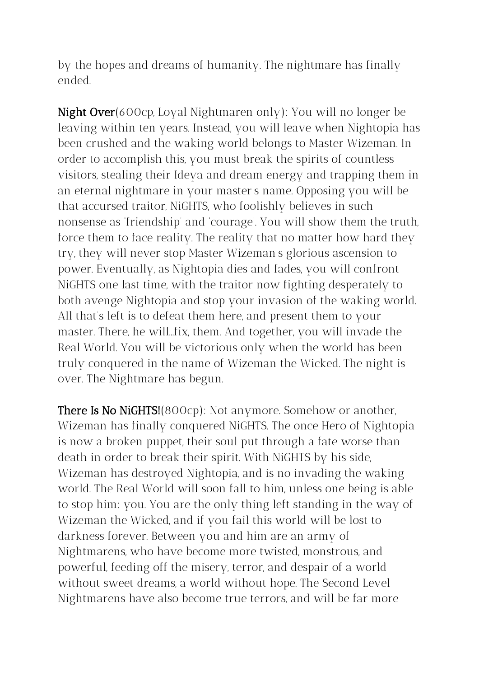by the hopes and dreams of humanity. The nightmare has finally ended.

Night Over(600cp, Loyal Nightmaren only): You will no longer be leaving within ten years. Instead, you will leave when Nightopia has been crushed and the waking world belongs to Master Wizeman. In order to accomplish this, you must break the spirits of countless visitors, stealing their Ideya and dream energy and trapping them in an eternal nightmare in your master's name. Opposing you will be that accursed traitor, NiGHTS, who foolishly believes in such nonsense as 'friendship' and 'courage'. You will show them the truth, force them to face reality. The reality that no matter how hard they try, they will never stop Master Wizeman's glorious ascension to power. Eventually, as Nightopia dies and fades, you will confront NiGHTS one last time, with the traitor now fighting desperately to both avenge Nightopia and stop your invasion of the waking world. All that's left is to defeat them here, and present them to your master. There, he will...fix, them. And together, you will invade the Real World. You will be victorious only when the world has been truly conquered in the name of Wizeman the Wicked. The night is over. The Nightmare has begun.

There Is No NiGHTS!(800cp): Not anymore. Somehow or another, Wizeman has finally conquered NiGHTS. The once Hero of Nightopia is now a broken puppet, their soul put through a fate worse than death in order to break their spirit. With NiGHTS by his side, Wizeman has destroyed Nightopia, and is no invading the waking world. The Real World will soon fall to him, unless one being is able to stop him: you. You are the only thing left standing in the way of Wizeman the Wicked, and if you fail this world will be lost to darkness forever. Between you and him are an army of Nightmarens, who have become more twisted, monstrous, and powerful, feeding off the misery, terror, and despair of a world without sweet dreams, a world without hope. The Second Level Nightmarens have also become true terrors, and will be far more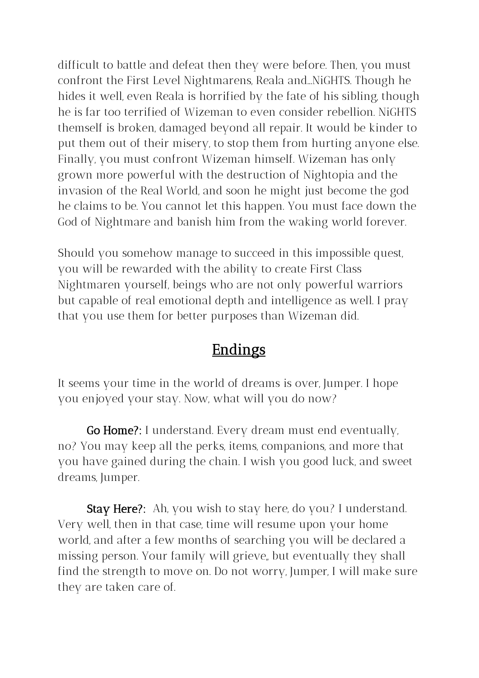difficult to battle and defeat then they were before. Then, you must confront the First Level Nightmarens, Reala and...NiGHTS. Though he hides it well, even Reala is horrified by the fate of his sibling, though he is far too terrified of Wizeman to even consider rebellion. NiGHTS themself is broken, damaged beyond all repair. It would be kinder to put them out of their misery, to stop them from hurting anyone else. Finally, you must confront Wizeman himself. Wizeman has only grown more powerful with the destruction of Nightopia and the invasion of the Real World, and soon he might just become the god he claims to be. You cannot let this happen. You must face down the God of Nightmare and banish him from the waking world forever.

Should you somehow manage to succeed in this impossible quest, you will be rewarded with the ability to create First Class Nightmaren yourself, beings who are not only powerful warriors but capable of real emotional depth and intelligence as well. I pray that you use them for better purposes than Wizeman did.

# **Endings**

It seems your time in the world of dreams is over, Jumper. I hope you enjoyed your stay. Now, what will you do now?

Go Home?: I understand. Every dream must end eventually, no? You may keep all the perks, items, companions, and more that you have gained during the chain. I wish you good luck, and sweet dreams, Jumper.

Stay Here?: Ah, you wish to stay here, do you? I understand. Very well, then in that case, time will resume upon your home world, and after a few months of searching you will be declared a missing person. Your family will grieve,, but eventually they shall find the strength to move on. Do not worry, Jumper, I will make sure they are taken care of.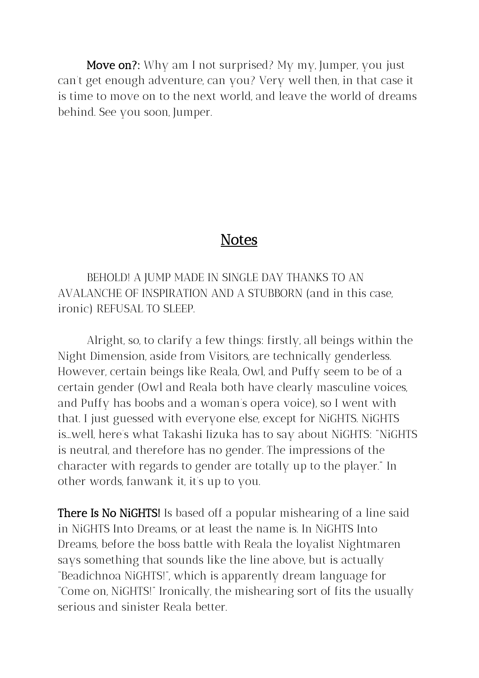Move on?: Why am I not surprised? My my, Jumper, you just can't get enough adventure, can you? Very well then, in that case it is time to move on to the next world, and leave the world of dreams behind. See you soon, Jumper.

### **Notes**

BEHOLD! A JUMP MADE IN SINGLE DAY THANKS TO AN AVALANCHE OF INSPIRATION AND A STUBBORN (and in this case, ironic) REFUSAL TO SLEEP.

Alright, so, to clarify a few things: firstly, all beings within the Night Dimension, aside from Visitors, are technically genderless. However, certain beings like Reala, Owl, and Puffy seem to be of a certain gender (Owl and Reala both have clearly masculine voices, and Puffy has boobs and a woman's opera voice), so I went with that. I just guessed with everyone else, except for NiGHTS. NiGHTS is...well, here's what Takashi Iizuka has to say about NiGHTS: "NiGHTS is neutral, and therefore has no gender. The impressions of the character with regards to gender are totally up to the player." In other words, fanwank it, it's up to you.

**There Is No NiGHTS!** Is based off a popular mishearing of a line said in NiGHTS Into Dreams, or at least the name is. In NiGHTS Into Dreams, before the boss battle with Reala the loyalist Nightmaren says something that sounds like the line above, but is actually "Beadichnoa NiGHTS!", which is apparently dream language for "Come on, NiGHTS!" Ironically, the mishearing sort of fits the usually serious and sinister Reala better.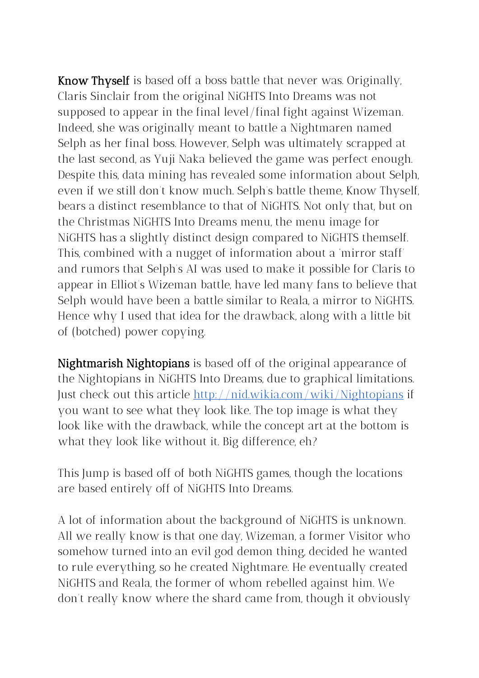**Know Thyself** is based off a boss battle that never was. Originally, Claris Sinclair from the original NiGHTS Into Dreams was not supposed to appear in the final level/final fight against Wizeman. Indeed, she was originally meant to battle a Nightmaren named Selph as her final boss. However, Selph was ultimately scrapped at the last second, as Yuji Naka believed the game was perfect enough. Despite this, data mining has revealed some information about Selph, even if we still don't know much. Selph's battle theme, Know Thyself, bears a distinct resemblance to that of NiGHTS. Not only that, but on the Christmas NiGHTS Into Dreams menu, the menu image for NiGHTS has a slightly distinct design compared to NiGHTS themself. This, combined with a nugget of information about a 'mirror staff' and rumors that Selph's AI was used to make it possible for Claris to appear in Elliot's Wizeman battle, have led many fans to believe that Selph would have been a battle similar to Reala, a mirror to NiGHTS. Hence why I used that idea for the drawback, along with a little bit of (botched) power copying.

Nightmarish Nightopians is based off of the original appearance of the Nightopians in NiGHTS Into Dreams, due to graphical limitations. Just check out this article <http://nid.wikia.com/wiki/Nightopians> if you want to see what they look like. The top image is what they look like with the drawback, while the concept art at the bottom is what they look like without it. Big difference, eh?

This Jump is based off of both NiGHTS games, though the locations are based entirely off of NiGHTS Into Dreams.

A lot of information about the background of NiGHTS is unknown. All we really know is that one day, Wizeman, a former Visitor who somehow turned into an evil god demon thing, decided he wanted to rule everything, so he created Nightmare. He eventually created NiGHTS and Reala, the former of whom rebelled against him. We don't really know where the shard came from, though it obviously